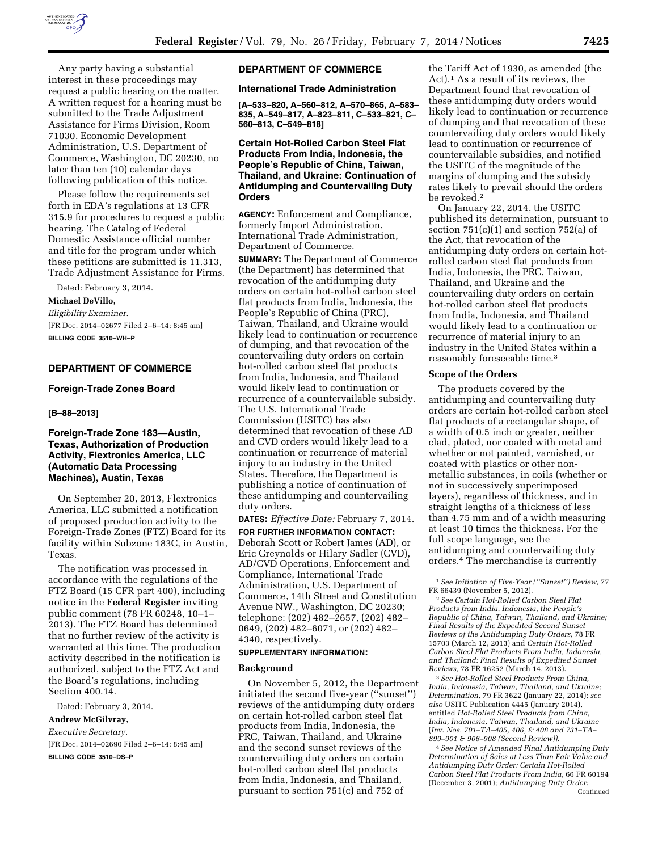

Any party having a substantial interest in these proceedings may request a public hearing on the matter. A written request for a hearing must be submitted to the Trade Adjustment Assistance for Firms Division, Room 71030, Economic Development Administration, U.S. Department of Commerce, Washington, DC 20230, no later than ten (10) calendar days following publication of this notice.

Please follow the requirements set forth in EDA's regulations at 13 CFR 315.9 for procedures to request a public hearing. The Catalog of Federal Domestic Assistance official number and title for the program under which these petitions are submitted is 11.313, Trade Adjustment Assistance for Firms.

Dated: February 3, 2014.

# **Michael DeVillo,**

*Eligibility Examiner.*  [FR Doc. 2014–02677 Filed 2–6–14; 8:45 am] **BILLING CODE 3510–WH–P** 

# **DEPARTMENT OF COMMERCE**

#### **Foreign-Trade Zones Board**

#### **[B–88–2013]**

# **Foreign-Trade Zone 183—Austin, Texas, Authorization of Production Activity, Flextronics America, LLC (Automatic Data Processing Machines), Austin, Texas**

On September 20, 2013, Flextronics America, LLC submitted a notification of proposed production activity to the Foreign-Trade Zones (FTZ) Board for its facility within Subzone 183C, in Austin, Texas.

The notification was processed in accordance with the regulations of the FTZ Board (15 CFR part 400), including notice in the **Federal Register** inviting public comment (78 FR 60248, 10–1– 2013). The FTZ Board has determined that no further review of the activity is warranted at this time. The production activity described in the notification is authorized, subject to the FTZ Act and the Board's regulations, including Section 400.14.

Dated: February 3, 2014.

**Andrew McGilvray,** 

*Executive Secretary.* 

[FR Doc. 2014–02690 Filed 2–6–14; 8:45 am]

**BILLING CODE 3510–DS–P** 

#### **DEPARTMENT OF COMMERCE**

#### **International Trade Administration**

**[A–533–820, A–560–812, A–570–865, A–583– 835, A–549–817, A–823–811, C–533–821, C– 560–813, C–549–818]** 

# **Certain Hot-Rolled Carbon Steel Flat Products From India, Indonesia, the People's Republic of China, Taiwan, Thailand, and Ukraine: Continuation of Antidumping and Countervailing Duty Orders**

**AGENCY:** Enforcement and Compliance, formerly Import Administration, International Trade Administration, Department of Commerce.

**SUMMARY:** The Department of Commerce (the Department) has determined that revocation of the antidumping duty orders on certain hot-rolled carbon steel flat products from India, Indonesia, the People's Republic of China (PRC), Taiwan, Thailand, and Ukraine would likely lead to continuation or recurrence of dumping, and that revocation of the countervailing duty orders on certain hot-rolled carbon steel flat products from India, Indonesia, and Thailand would likely lead to continuation or recurrence of a countervailable subsidy. The U.S. International Trade Commission (USITC) has also determined that revocation of these AD and CVD orders would likely lead to a continuation or recurrence of material injury to an industry in the United States. Therefore, the Department is publishing a notice of continuation of these antidumping and countervailing duty orders.

**DATES:** *Effective Date:* February 7, 2014.

**FOR FURTHER INFORMATION CONTACT:**  Deborah Scott or Robert James (AD), or Eric Greynolds or Hilary Sadler (CVD), AD/CVD Operations, Enforcement and Compliance, International Trade Administration, U.S. Department of Commerce, 14th Street and Constitution Avenue NW., Washington, DC 20230; telephone: (202) 482–2657, (202) 482– 0649, (202) 482–6071, or (202) 482– 4340, respectively.

#### **SUPPLEMENTARY INFORMATION:**

#### **Background**

On November 5, 2012, the Department initiated the second five-year (''sunset'') reviews of the antidumping duty orders on certain hot-rolled carbon steel flat products from India, Indonesia, the PRC, Taiwan, Thailand, and Ukraine and the second sunset reviews of the countervailing duty orders on certain hot-rolled carbon steel flat products from India, Indonesia, and Thailand, pursuant to section 751(c) and 752 of

the Tariff Act of 1930, as amended (the Act).1 As a result of its reviews, the Department found that revocation of these antidumping duty orders would likely lead to continuation or recurrence of dumping and that revocation of these countervailing duty orders would likely lead to continuation or recurrence of countervailable subsidies, and notified the USITC of the magnitude of the margins of dumping and the subsidy rates likely to prevail should the orders be revoked.<sup>2</sup>

On January 22, 2014, the USITC published its determination, pursuant to section  $751(c)(1)$  and section  $752(a)$  of the Act, that revocation of the antidumping duty orders on certain hotrolled carbon steel flat products from India, Indonesia, the PRC, Taiwan, Thailand, and Ukraine and the countervailing duty orders on certain hot-rolled carbon steel flat products from India, Indonesia, and Thailand would likely lead to a continuation or recurrence of material injury to an industry in the United States within a reasonably foreseeable time.3

#### **Scope of the Orders**

The products covered by the antidumping and countervailing duty orders are certain hot-rolled carbon steel flat products of a rectangular shape, of a width of 0.5 inch or greater, neither clad, plated, nor coated with metal and whether or not painted, varnished, or coated with plastics or other nonmetallic substances, in coils (whether or not in successively superimposed layers), regardless of thickness, and in straight lengths of a thickness of less than 4.75 mm and of a width measuring at least 10 times the thickness. For the full scope language, see the antidumping and countervailing duty orders.4 The merchandise is currently

2*See Certain Hot-Rolled Carbon Steel Flat Products from India, Indonesia, the People's Republic of China, Taiwan, Thailand, and Ukraine; Final Results of the Expedited Second Sunset Reviews of the Antidumping Duty Orders,* 78 FR 15703 (March 12, 2013) and *Certain Hot-Rolled Carbon Steel Flat Products From India, Indonesia, and Thailand: Final Results of Expedited Sunset Reviews,* 78 FR 16252 (March 14, 2013).

3*See Hot-Rolled Steel Products From China, India, Indonesia, Taiwan, Thailand, and Ukraine; Determination,* 79 FR 3622 (January 22, 2014); *see also* USITC Publication 4445 (January 2014), entitled *Hot-Rolled Steel Products from China, India, Indonesia, Taiwan, Thailand, and Ukraine*  (*Inv. Nos. 701–TA–405, 406, & 408 and 731–TA– 899–901 & 906–908 (Second Review)).* 

4*See Notice of Amended Final Antidumping Duty Determination of Sales at Less Than Fair Value and Antidumping Duty Order: Certain Hot-Rolled Carbon Steel Flat Products From India,* 66 FR 60194 (December 3, 2001); *Antidumping Duty Order:*  Continued

<sup>1</sup>*See Initiation of Five-Year (''Sunset'') Review,* 77 FR 66439 (November 5, 2012).